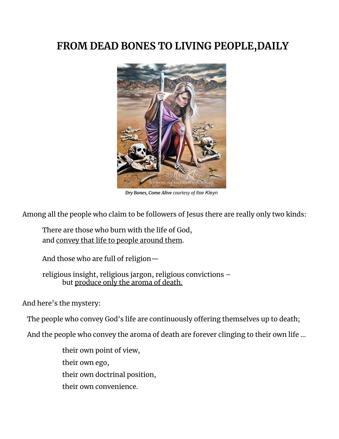# **FROM DEAD BONES TO LIVING PEOPLE,DAILY**



*Dry Bones, Come Alive courtesy of Ilse Kleyn*

Among all the people who claim to be followers of Jesus there are really only two kinds:

There are those who burn with the life of God, and convey that life to people around them.

And those who are full of religion—

religious insight, religious jargon, religious convictions – but <u>produce only the aroma of death.</u>

And here's the mystery:

The people who convey God's life are continuously offering themselves up to death;

And the people who convey the aroma of death are forever clinging to their own life ...

their own point of view, their own ego, their own doctrinal position, their own convenience.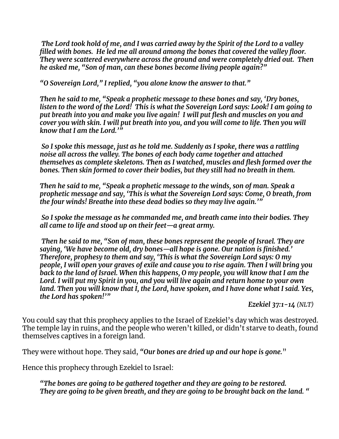The Lord took hold of me, and I was carried away by the Spirit of the Lord to a valley *filled with bones. He led me all around among the bones that covered the valley floor. They were scattered everywhere across the ground and were completely dried out. Then he asked me, "Son of man, can these bones become living people again?"*

*"O Sovereign Lord, " I replied, "you alone know the answer to that."*

*Then he said to me, "Speak a prophetic message to these bones and say, 'Dry bones, listen to the word of the Lord! This is what the Sovereign Lord says: Look! I am going to put breath into you and make you live again! I will put flesh and muscles on you and cover you with skin. I will put breath into you, and you will come to life. Then you will know that I am the Lord.'"*

*So I spoke this message, just as he told me. Suddenly as I spoke, there was a rattling noise all across the valley. The bones of each body came together and attached themselves as complete skeletons. Then as I watched, muscles and flesh formed over the bones. Then skin formed to cover their bodies, but they still had no breath in them.*

*Then he said to me, "Speak a prophetic message to the winds, son of man. Speak a prophetic message and say, 'This is what the Sovereign Lord says: Come, O breath, from the four winds! Breathe into these dead bodies so they may live again.'"*

*So I spoke the message as he commanded me, and breath came into their bodies. They all came to life and stood up on their feet—a great army.*

*Then he said to me, "Son of man, these bones represent the people of Israel. They are saying, 'We have become old, dry bones—all hope is gone. Our nation is finished.' Therefore, prophesy to them and say, 'This is what the Sovereign Lord says: O my people, I will open your graves of exile and cause you to rise again. Then I will bring you back to the land of Israel. When this happens, O my people, you will know that I am the Lord. I will put my Spirit in you, and you will live again and return home to your own land. Then you will know that I, the Lord, have spoken, and I have done what I said. Yes, the Lord has spoken!'"*

*Ezekiel 37:1-14 (NLT)*

You could say that this prophecy applies to the Israel of Ezekiel's day which was destroyed. The temple lay in ruins, and the people who weren't killed, or didn't starve to death, found themselves captives in a foreign land.

They were without hope. They said, *"Our bones are dried up and our hope is gone.*"

Hence this prophecy through Ezekiel to Israel:

*"The bones are going to be gathered together and they are going to be restored. They are going to be given breath, and they are going to be brought back on the land. "*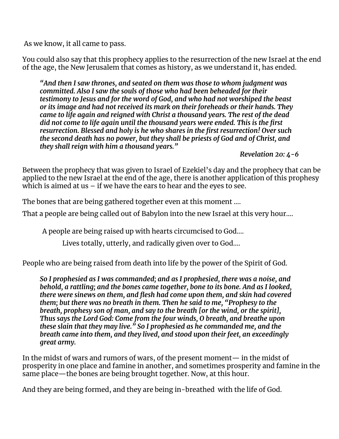As we know, it all came to pass.

You could also say that this prophecy applies to the resurrection of the new Israel at the end of the age, the New Jerusalem that comes as history, as we understand it, has ended.

*"And then I saw thrones, and seated on them was those to whom judgment was committed. Also I saw the souls of those who had been beheaded for their testimony to Jesus and for the word of God, and who had not worshiped the beast or its image and had not received its mark on their foreheads or their hands. They came to life again and reigned with Christ a thousand years. The rest of the dead did not come to life again until the thousand years were ended. This is the first resurrection. Blessed and holy is he who shares in the first resurrection! Over such the second death has no power, but they shall be priests of God and of Christ, and they shall reign with him a thousand years."*

*Revelation 20: 4-6*

Between the prophecy that was given to Israel of Ezekiel's day and the prophecy that can be applied to the new Israel at the end of the age, there is another application of this prophesy which is aimed at us  $-$  if we have the ears to hear and the eyes to see.

The bones that are being gathered together even at this moment ....

That a people are being called out of Babylon into the new Israel at this very hour....

A people are being raised up with hearts circumcised to God....

Lives totally, utterly, and radically given over to God....

People who are being raised from death into life by the power of the Spirit of God.

*So I prophesied as I was commanded; and as I prophesied, there was a noise, and behold, a rattling; and the bones came together, bone to its bone. And as I looked, there were sinews on them, and flesh had come upon them, and skin had covered them; but there was no breath in them. Then he said to me, "Prophesy to the breath, prophesy son of man, and say to the breath [or the wind, or the spirit], Thus says the Lord God: Come from the four winds, O breath, and breathe upon these slain that they may live." So I prophesied as he commanded me, and the breath came into them, and they lived, and stood upon their feet, an exceedingly great army.*

In the midst of wars and rumors of wars, of the present moment— in the midst of prosperity in one place and famine in another, and sometimes prosperity and famine in the same place—the bones are being brought together. Now, at this hour.

And they are being formed, and they are being in-breathed with the life of God.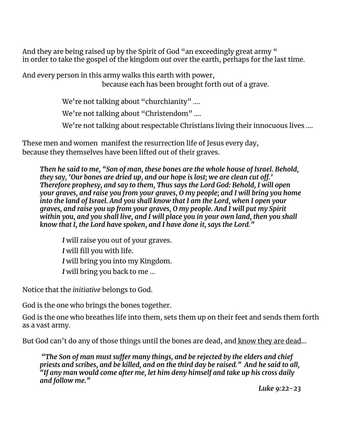And they are being raised up by the Spirit of God "an exceedingly great army " in order to take the gospel of the kingdom out over the earth, perhaps for the last time.

And every person in this army walks this earth with power, because each has been brought forth out of a grave.

We're not talking about "churchianity" ....

We're not talking about "Christendom" ....

We're not talking about respectable Christians living their innocuous lives ....

These men and women manifest the resurrection life of Jesus every day, because they themselves have been lifted out of their graves.

*Then he said to me, "Son of man, these bones are the whole house of Israel. Behold, they say, 'Our bones are dried up, and our hope is lost; we are clean cut off.' Therefore prophesy, and say to them, Thus says the Lord God: Behold, I will open your graves, and raise you from your graves, O my people; and I will bring you home into the land of Israel. And you shall know that I am the Lord, when I open your graves, and raise you up from your graves, O my people. And I will put my Spirit within you, and you shall live, and I will place you in your own land, then you shall know that I, the Lord have spoken, and I have done it, says the Lord."*

*I* will raise you out of your graves. *I* will fill you with life. *I* will bring you into my Kingdom. *I* will bring you back to me ...

Notice that the *initiative* belongs to God.

God is the one who brings the bones together.

God is the one who breathes life into them, sets them up on their feet and sends them forth as a vast army.

But God can't do any of those things until the bones are dead, and know they are dead...

*"The Son of man must suffer many things, and be rejected by the elders and chief priests and scribes, and be killed, and on the third day be raised." And he said to all, "If any man would come after me, let him deny himself and take up his cross daily and follow me."*

*Luke 9:22-23*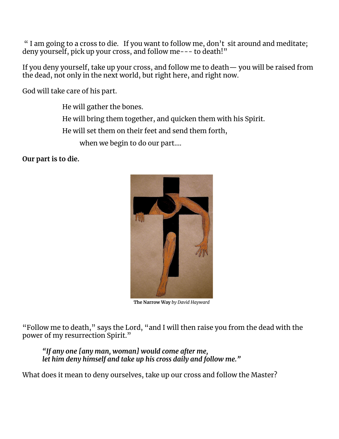" I am going to a cross to die. If you want to follow me, don't sit around and meditate; deny yourself, pick up your cross, and follow me--- to death!"

If you deny yourself, take up your cross, and follow me to death— you will be raised from the dead, not only in the next world, but right here, and right now.

God will take care of his part.

He will gather the bones.

He will bring them together, and quicken them with his Spirit.

He will set them on their feet and send them forth,

when we begin to do our part....

**Our part is to die.**



**The Narrow Way** *by David Hayward*

"Follow me to death," says the Lord, "and I will then raise you from the dead with the power of my resurrection Spirit."

*"If any one [any man, woman] would come after me, let him deny himself and take up his cross daily and follow me."*

What does it mean to deny ourselves, take up our cross and follow the Master?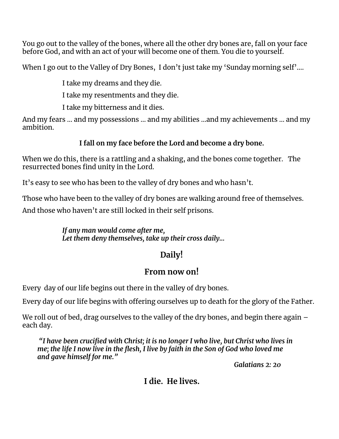You go out to the valley of the bones, where all the other dry bones are, fall on your face before God, and with an act of your will become one of them. You die to yourself.

When I go out to the Valley of Dry Bones, I don't just take my 'Sunday morning self'....

I take my dreams and they die.

I take my resentments and they die.

I take my bitterness and it dies.

And my fears ... and my possessions ... and my abilities ...and my achievements ... and my ambition.

#### **I fall on my face before the Lord and become a dry bone.**

When we do this, there is a rattling and a shaking, and the bones come together. The resurrected bones find unity in the Lord.

It's easy to see who has been to the valley of dry bones and who hasn't.

Those who have been to the valley of dry bones are walking around free of themselves.

And those who haven't are still locked in their self prisons.

*If any man would come after me, Let them deny themselves, take up their cross daily...*

## **Daily!**

## **From now on!**

Every day of our life begins out there in the valley of dry bones.

Every day of our life begins with offering ourselves up to death for the glory of the Father.

We roll out of bed, drag ourselves to the valley of the dry bones, and begin there again – each day.

*"I have been crucified with Christ; it is no longer I who live, but Christ who lives in* me; the life I now live in the flesh, I live by faith in the Son of God who loved me *and gave himself for me."*

*Galatians 2: 20*

#### **I die. He lives.**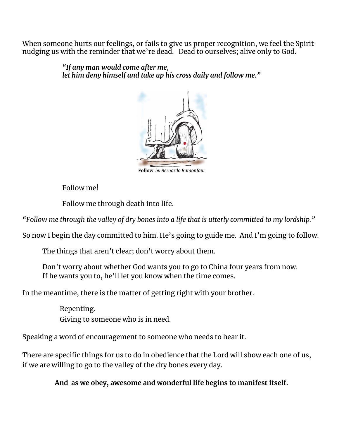When someone hurts our feelings, or fails to give us proper recognition, we feel the Spirit nudging us with the reminder that we're dead. Dead to ourselves; alive only to God.

> *"If any man would come after me, let him deny himself and take up his cross daily and follow me."*



**Follow** *by Bernardo Ramonfaur*

Follow me!

Follow me through death into life.

*"Follow me through the valley of dry bones into a life that is utterly committed to my lordship."*

So now I begin the day committed to him. He's going to guide me. And I'm going to follow.

The things that aren't clear; don't worry about them.

Don't worry about whether God wants you to go to China four years from now. If he wants you to, he'll let you know when the time comes.

In the meantime, there is the matter of getting right with your brother.

Repenting. Giving to someone who is in need.

Speaking a word of encouragement to someone who needs to hear it.

There are specific things for us to do in obedience that the Lord will show each one of us, if we are willing to go to the valley of the dry bones every day.

**And as we obey, awesome and wonderful life begins to manifest itself.**